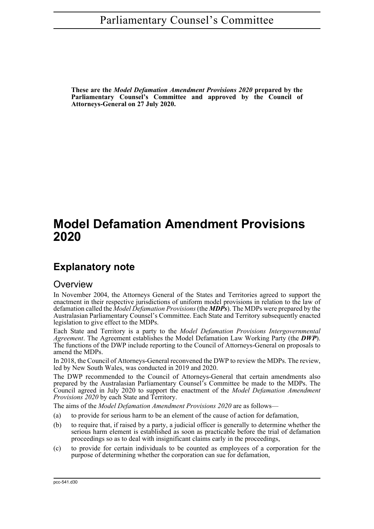**These are the** *Model Defamation Amendment Provisions 2020* **prepared by the Parliamentary Counsel's Committee and approved by the Council of Attorneys-General on 27 July 2020.**

# **Model Defamation Amendment Provisions 2020**

## **Explanatory note**

## **Overview**

In November 2004, the Attorneys General of the States and Territories agreed to support the enactment in their respective jurisdictions of uniform model provisions in relation to the law of defamation called the *Model Defamation Provisions* (the *MDPs*). The MDPs were prepared by the Australasian Parliamentary Counsel's Committee. Each State and Territory subsequently enacted legislation to give effect to the MDPs.

Each State and Territory is a party to the *Model Defamation Provisions Intergovernmental Agreement*. The Agreement establishes the Model Defamation Law Working Party (the *DWP*). The functions of the DWP include reporting to the Council of Attorneys-General on proposals to amend the MDPs.

In 2018, the Council of Attorneys-General reconvened the DWP to review the MDPs. The review, led by New South Wales, was conducted in 2019 and 2020.

The DWP recommended to the Council of Attorneys-General that certain amendments also prepared by the Australasian Parliamentary Counsel's Committee be made to the MDPs. The Council agreed in July 2020 to support the enactment of the *Model Defamation Amendment Provisions 2020* by each State and Territory.

The aims of the *Model Defamation Amendment Provisions 2020* are as follows—

- (a) to provide for serious harm to be an element of the cause of action for defamation,
- (b) to require that, if raised by a party, a judicial officer is generally to determine whether the serious harm element is established as soon as practicable before the trial of defamation proceedings so as to deal with insignificant claims early in the proceedings,
- (c) to provide for certain individuals to be counted as employees of a corporation for the purpose of determining whether the corporation can sue for defamation,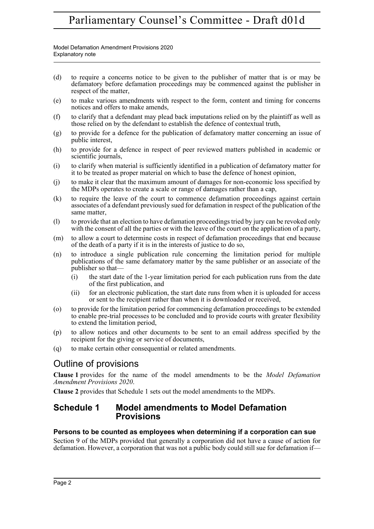Model Defamation Amendment Provisions 2020 Explanatory note

- (d) to require a concerns notice to be given to the publisher of matter that is or may be defamatory before defamation proceedings may be commenced against the publisher in respect of the matter,
- (e) to make various amendments with respect to the form, content and timing for concerns notices and offers to make amends,
- (f) to clarify that a defendant may plead back imputations relied on by the plaintiff as well as those relied on by the defendant to establish the defence of contextual truth,
- (g) to provide for a defence for the publication of defamatory matter concerning an issue of public interest,
- (h) to provide for a defence in respect of peer reviewed matters published in academic or scientific journals,
- (i) to clarify when material is sufficiently identified in a publication of defamatory matter for it to be treated as proper material on which to base the defence of honest opinion,
- (j) to make it clear that the maximum amount of damages for non-economic loss specified by the MDPs operates to create a scale or range of damages rather than a cap,
- (k) to require the leave of the court to commence defamation proceedings against certain associates of a defendant previously sued for defamation in respect of the publication of the same matter,
- (l) to provide that an election to have defamation proceedings tried by jury can be revoked only with the consent of all the parties or with the leave of the court on the application of a party,
- (m) to allow a court to determine costs in respect of defamation proceedings that end because of the death of a party if it is in the interests of justice to do so,
- (n) to introduce a single publication rule concerning the limitation period for multiple publications of the same defamatory matter by the same publisher or an associate of the publisher so that—
	- (i) the start date of the 1-year limitation period for each publication runs from the date of the first publication, and
	- (ii) for an electronic publication, the start date runs from when it is uploaded for access or sent to the recipient rather than when it is downloaded or received,
- (o) to provide for the limitation period for commencing defamation proceedings to be extended to enable pre-trial processes to be concluded and to provide courts with greater flexibility to extend the limitation period,
- (p) to allow notices and other documents to be sent to an email address specified by the recipient for the giving or service of documents,
- (q) to make certain other consequential or related amendments.

## Outline of provisions

**Clause 1** provides for the name of the model amendments to be the *Model Defamation Amendment Provisions 2020*.

**Clause 2** provides that Schedule 1 sets out the model amendments to the MDPs.

## **Schedule 1 Model amendments to Model Defamation Provisions**

## **Persons to be counted as employees when determining if a corporation can sue**

Section 9 of the MDPs provided that generally a corporation did not have a cause of action for defamation. However, a corporation that was not a public body could still sue for defamation if—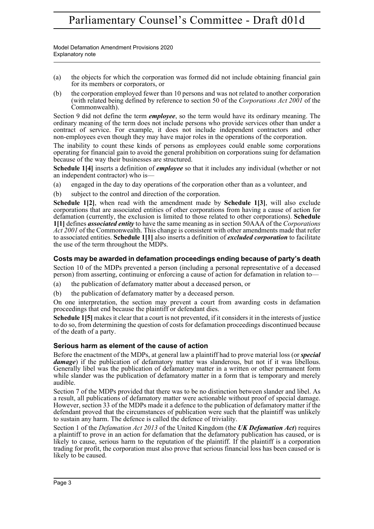Model Defamation Amendment Provisions 2020 Explanatory note

- (a) the objects for which the corporation was formed did not include obtaining financial gain for its members or corporators, or
- (b) the corporation employed fewer than 10 persons and was not related to another corporation (with related being defined by reference to section 50 of the *Corporations Act 2001* of the Commonwealth).

Section 9 did not define the term *employee*, so the term would have its ordinary meaning. The ordinary meaning of the term does not include persons who provide services other than under a contract of service. For example, it does not include independent contractors and other non-employees even though they may have major roles in the operations of the corporation.

The inability to count these kinds of persons as employees could enable some corporations operating for financial gain to avoid the general prohibition on corporations suing for defamation because of the way their businesses are structured.

**Schedule 1[4]** inserts a definition of *employee* so that it includes any individual (whether or not an independent contractor) who is—

- (a) engaged in the day to day operations of the corporation other than as a volunteer, and
- (b) subject to the control and direction of the corporation.

**Schedule 1[2]**, when read with the amendment made by **Schedule 1[3]**, will also exclude corporations that are associated entities of other corporations from having a cause of action for defamation (currently, the exclusion is limited to those related to other corporations). **Schedule 1[1]** defines *associated entity* to have the same meaning as in section 50AAA of the *Corporations Act 2001* of the Commonwealth. This change is consistent with other amendments made that refer to associated entities. **Schedule 1[1]** also inserts a definition of *excluded corporation* to facilitate the use of the term throughout the MDPs.

## **Costs may be awarded in defamation proceedings ending because of party's death**

Section 10 of the MDPs prevented a person (including a personal representative of a deceased person) from asserting, continuing or enforcing a cause of action for defamation in relation to—

- (a) the publication of defamatory matter about a deceased person, or
- (b) the publication of defamatory matter by a deceased person.

On one interpretation, the section may prevent a court from awarding costs in defamation proceedings that end because the plaintiff or defendant dies.

**Schedule 15** makes it clear that a court is not prevented, if it considers it in the interests of justice to do so, from determining the question of costs for defamation proceedings discontinued because of the death of a party.

## **Serious harm as element of the cause of action**

Before the enactment of the MDPs, at general law a plaintiff had to prove material loss (or *special damage*) if the publication of defamatory matter was slanderous, but not if it was libellous. Generally libel was the publication of defamatory matter in a written or other permanent form while slander was the publication of defamatory matter in a form that is temporary and merely audible.

Section 7 of the MDPs provided that there was to be no distinction between slander and libel. As a result, all publications of defamatory matter were actionable without proof of special damage. However, section 33 of the MDPs made it a defence to the publication of defamatory matter if the defendant proved that the circumstances of publication were such that the plaintiff was unlikely to sustain any harm. The defence is called the defence of triviality.

Section 1 of the *Defamation Act 2013* of the United Kingdom (the *UK Defamation Act*) requires a plaintiff to prove in an action for defamation that the defamatory publication has caused, or is likely to cause, serious harm to the reputation of the plaintiff. If the plaintiff is a corporation trading for profit, the corporation must also prove that serious financial loss has been caused or is likely to be caused.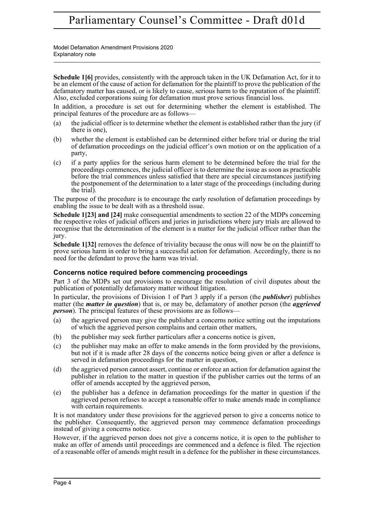Model Defamation Amendment Provisions 2020 Explanatory note

**Schedule 1[6]** provides, consistently with the approach taken in the UK Defamation Act, for it to be an element of the cause of action for defamation for the plaintiff to prove the publication of the defamatory matter has caused, or is likely to cause, serious harm to the reputation of the plaintiff. Also, excluded corporations suing for defamation must prove serious financial loss.

In addition, a procedure is set out for determining whether the element is established. The principal features of the procedure are as follows—

- (a) the judicial officer is to determine whether the element is established rather than the jury (if there is one),
- (b) whether the element is established can be determined either before trial or during the trial of defamation proceedings on the judicial officer's own motion or on the application of a party,
- (c) if a party applies for the serious harm element to be determined before the trial for the proceedings commences, the judicial officer is to determine the issue as soon as practicable before the trial commences unless satisfied that there are special circumstances justifying the postponement of the determination to a later stage of the proceedings (including during the trial).

The purpose of the procedure is to encourage the early resolution of defamation proceedings by enabling the issue to be dealt with as a threshold issue.

**Schedule 1[23] and [24]** make consequential amendments to section 22 of the MDPs concerning the respective roles of judicial officers and juries in jurisdictions where jury trials are allowed to recognise that the determination of the element is a matter for the judicial officer rather than the jury.

**Schedule 1[32]** removes the defence of triviality because the onus will now be on the plaintiff to prove serious harm in order to bring a successful action for defamation. Accordingly, there is no need for the defendant to prove the harm was trivial.

## **Concerns notice required before commencing proceedings**

Part 3 of the MDPs set out provisions to encourage the resolution of civil disputes about the publication of potentially defamatory matter without litigation.

In particular, the provisions of Division 1 of Part 3 apply if a person (the *publisher*) publishes matter (the *matter in question*) that is, or may be, defamatory of another person (the *aggrieved person*). The principal features of these provisions are as follows—

- (a) the aggrieved person may give the publisher a concerns notice setting out the imputations of which the aggrieved person complains and certain other matters,
- (b) the publisher may seek further particulars after a concerns notice is given,
- (c) the publisher may make an offer to make amends in the form provided by the provisions, but not if it is made after 28 days of the concerns notice being given or after a defence is served in defamation proceedings for the matter in question,
- (d) the aggrieved person cannot assert, continue or enforce an action for defamation against the publisher in relation to the matter in question if the publisher carries out the terms of an offer of amends accepted by the aggrieved person,
- (e) the publisher has a defence in defamation proceedings for the matter in question if the aggrieved person refuses to accept a reasonable offer to make amends made in compliance with certain requirements.

It is not mandatory under these provisions for the aggrieved person to give a concerns notice to the publisher. Consequently, the aggrieved person may commence defamation proceedings instead of giving a concerns notice.

However, if the aggrieved person does not give a concerns notice, it is open to the publisher to make an offer of amends until proceedings are commenced and a defence is filed. The rejection of a reasonable offer of amends might result in a defence for the publisher in these circumstances.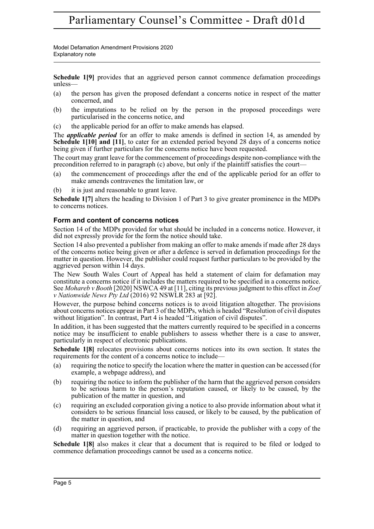Model Defamation Amendment Provisions 2020 Explanatory note

**Schedule 1[9]** provides that an aggrieved person cannot commence defamation proceedings unless—

- (a) the person has given the proposed defendant a concerns notice in respect of the matter concerned, and
- (b) the imputations to be relied on by the person in the proposed proceedings were particularised in the concerns notice, and
- (c) the applicable period for an offer to make amends has elapsed.

The *applicable period* for an offer to make amends is defined in section 14, as amended by **Schedule 1[10] and [11]**, to cater for an extended period beyond 28 days of a concerns notice being given if further particulars for the concerns notice have been requested.

The court may grant leave for the commencement of proceedings despite non-compliance with the precondition referred to in paragraph (c) above, but only if the plaintiff satisfies the court—

- (a) the commencement of proceedings after the end of the applicable period for an offer to make amends contravenes the limitation law, or
- (b) it is just and reasonable to grant leave.

**Schedule 1[7]** alters the heading to Division 1 of Part 3 to give greater prominence in the MDPs to concerns notices.

## **Form and content of concerns notices**

Section 14 of the MDPs provided for what should be included in a concerns notice. However, it did not expressly provide for the form the notice should take.

Section 14 also prevented a publisher from making an offer to make amends if made after 28 days of the concerns notice being given or after a defence is served in defamation proceedings for the matter in question. However, the publisher could request further particulars to be provided by the aggrieved person within 14 days.

The New South Wales Court of Appeal has held a statement of claim for defamation may constitute a concerns notice if it includes the matters required to be specified in a concerns notice. See *Mohareb v Booth* [2020] NSWCA 49 at [11], citing its previous judgment to this effect in *Zoef v Nationwide News Pty Ltd* (2016) 92 NSWLR 283 at [92].

However, the purpose behind concerns notices is to avoid litigation altogether. The provisions about concerns notices appear in Part 3 of the MDPs, which is headed "Resolution of civil disputes without litigation". In contrast, Part 4 is headed "Litigation of civil disputes".

In addition, it has been suggested that the matters currently required to be specified in a concerns notice may be insufficient to enable publishers to assess whether there is a case to answer, particularly in respect of electronic publications.

**Schedule 1[8]** relocates provisions about concerns notices into its own section. It states the requirements for the content of a concerns notice to include—

- (a) requiring the notice to specify the location where the matter in question can be accessed (for example, a webpage address), and
- (b) requiring the notice to inform the publisher of the harm that the aggrieved person considers to be serious harm to the person's reputation caused, or likely to be caused, by the publication of the matter in question, and
- (c) requiring an excluded corporation giving a notice to also provide information about what it considers to be serious financial loss caused, or likely to be caused, by the publication of the matter in question, and
- (d) requiring an aggrieved person, if practicable, to provide the publisher with a copy of the matter in question together with the notice.

**Schedule 1[8]** also makes it clear that a document that is required to be filed or lodged to commence defamation proceedings cannot be used as a concerns notice.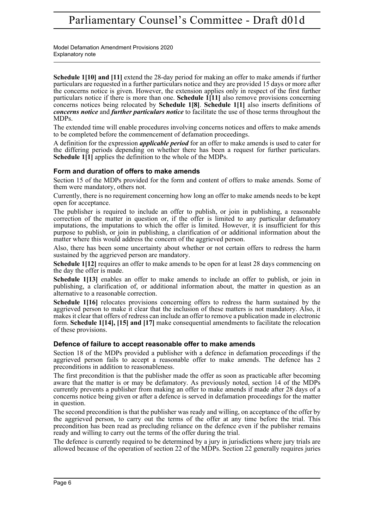Model Defamation Amendment Provisions 2020 Explanatory note

**Schedule 1[10] and [11]** extend the 28-day period for making an offer to make amends if further particulars are requested in a further particulars notice and they are provided 15 days or more after the concerns notice is given. However, the extension applies only in respect of the first further particulars notice if there is more than one. **Schedule 1**[11] also remove provisions concerning concerns notices being relocated by **Schedule 1[8]**. **Schedule 1[1]** also inserts definitions of *concerns notice* and *further particulars notice* to facilitate the use of those terms throughout the MDPs.

The extended time will enable procedures involving concerns notices and offers to make amends to be completed before the commencement of defamation proceedings.

A definition for the expression *applicable period* for an offer to make amends is used to cater for the differing periods depending on whether there has been a request for further particulars. **Schedule 1[1]** applies the definition to the whole of the MDPs.

## **Form and duration of offers to make amends**

Section 15 of the MDPs provided for the form and content of offers to make amends. Some of them were mandatory, others not.

Currently, there is no requirement concerning how long an offer to make amends needs to be kept open for acceptance.

The publisher is required to include an offer to publish, or join in publishing, a reasonable correction of the matter in question or, if the offer is limited to any particular defamatory imputations, the imputations to which the offer is limited. However, it is insufficient for this purpose to publish, or join in publishing, a clarification of or additional information about the matter where this would address the concern of the aggrieved person.

Also, there has been some uncertainty about whether or not certain offers to redress the harm sustained by the aggrieved person are mandatory.

**Schedule 1[12]** requires an offer to make amends to be open for at least 28 days commencing on the day the offer is made.

**Schedule 1[13]** enables an offer to make amends to include an offer to publish, or join in publishing, a clarification of, or additional information about, the matter in question as an alternative to a reasonable correction.

**Schedule 1[16]** relocates provisions concerning offers to redress the harm sustained by the aggrieved person to make it clear that the inclusion of these matters is not mandatory. Also, it makes it clear that offers of redress can include an offer to remove a publication made in electronic form. **Schedule 1[14], [15] and [17]** make consequential amendments to facilitate the relocation of these provisions.

## **Defence of failure to accept reasonable offer to make amends**

Section 18 of the MDPs provided a publisher with a defence in defamation proceedings if the aggrieved person fails to accept a reasonable offer to make amends. The defence has 2 preconditions in addition to reasonableness.

The first precondition is that the publisher made the offer as soon as practicable after becoming aware that the matter is or may be defamatory. As previously noted, section 14 of the MDPs currently prevents a publisher from making an offer to make amends if made after 28 days of a concerns notice being given or after a defence is served in defamation proceedings for the matter in question.

The second precondition is that the publisher was ready and willing, on acceptance of the offer by the aggrieved person, to carry out the terms of the offer at any time before the trial. This precondition has been read as precluding reliance on the defence even if the publisher remains ready and willing to carry out the terms of the offer during the trial.

The defence is currently required to be determined by a jury in jurisdictions where jury trials are allowed because of the operation of section 22 of the MDPs. Section 22 generally requires juries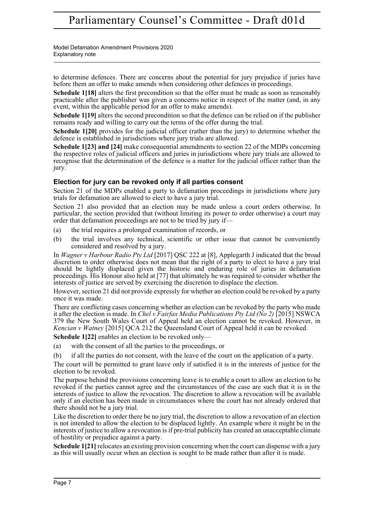Model Defamation Amendment Provisions 2020 Explanatory note

to determine defences. There are concerns about the potential for jury prejudice if juries have before them an offer to make amends when considering other defences in proceedings.

Schedule 1<sup>[18]</sup> alters the first precondition so that the offer must be made as soon as reasonably practicable after the publisher was given a concerns notice in respect of the matter (and, in any event, within the applicable period for an offer to make amends).

**Schedule 1[19]** alters the second precondition so that the defence can be relied on if the publisher remains ready and willing to carry out the terms of the offer during the trial.

**Schedule 1[20]** provides for the judicial officer (rather than the jury) to determine whether the defence is established in jurisdictions where jury trials are allowed.

**Schedule 1[23] and [24]** make consequential amendments to section 22 of the MDPs concerning the respective roles of judicial officers and juries in jurisdictions where jury trials are allowed to recognise that the determination of the defence is a matter for the judicial officer rather than the jury.

## **Election for jury can be revoked only if all parties consent**

Section 21 of the MDPs enabled a party to defamation proceedings in jurisdictions where jury trials for defamation are allowed to elect to have a jury trial.

Section 21 also provided that an election may be made unless a court orders otherwise. In particular, the section provided that (without limiting its power to order otherwise) a court may order that defamation proceedings are not to be tried by jury if—

- (a) the trial requires a prolonged examination of records, or
- (b) the trial involves any technical, scientific or other issue that cannot be conveniently considered and resolved by a jury.

In *Wagner v Harbour Radio Pty Ltd* [2017] QSC 222 at [8], Applegarth J indicated that the broad discretion to order otherwise does not mean that the right of a party to elect to have a jury trial should be lightly displaced given the historic and enduring role of juries in defamation proceedings. His Honour also held at [77] that ultimately he was required to consider whether the interests of justice are served by exercising the discretion to displace the election.

However, section 21 did not provide expressly for whether an election could be revoked by a party once it was made.

There are conflicting cases concerning whether an election can be revoked by the party who made it after the election is made. In *Chel v Fairfax Media Publications Pty Ltd (No 2)* [2015] NSWCA 379 the New South Wales Court of Appeal held an election cannot be revoked. However, in *Kencian v Watney* [2015] QCA 212 the Queensland Court of Appeal held it can be revoked.

**Schedule 1[22]** enables an election to be revoked only—

- (a) with the consent of all the parties to the proceedings, or
- (b) if all the parties do not consent, with the leave of the court on the application of a party.

The court will be permitted to grant leave only if satisfied it is in the interests of justice for the election to be revoked.

The purpose behind the provisions concerning leave is to enable a court to allow an election to be revoked if the parties cannot agree and the circumstances of the case are such that it is in the interests of justice to allow the revocation. The discretion to allow a revocation will be available only if an election has been made in circumstances where the court has not already ordered that there should not be a jury trial.

Like the discretion to order there be no jury trial, the discretion to allow a revocation of an election is not intended to allow the election to be displaced lightly. An example where it might be in the interests of justice to allow a revocation is if pre-trial publicity has created an unacceptable climate of hostility or prejudice against a party.

**Schedule 1[21]** relocates an existing provision concerning when the court can dispense with a jury as this will usually occur when an election is sought to be made rather than after it is made.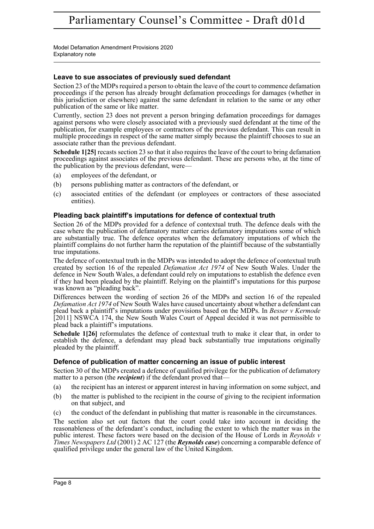Model Defamation Amendment Provisions 2020 Explanatory note

## **Leave to sue associates of previously sued defendant**

Section 23 of the MDPs required a person to obtain the leave of the court to commence defamation proceedings if the person has already brought defamation proceedings for damages (whether in this jurisdiction or elsewhere) against the same defendant in relation to the same or any other publication of the same or like matter.

Currently, section 23 does not prevent a person bringing defamation proceedings for damages against persons who were closely associated with a previously sued defendant at the time of the publication, for example employees or contractors of the previous defendant. This can result in multiple proceedings in respect of the same matter simply because the plaintiff chooses to sue an associate rather than the previous defendant.

**Schedule 1[25]** recasts section 23 so that it also requires the leave of the court to bring defamation proceedings against associates of the previous defendant. These are persons who, at the time of the publication by the previous defendant, were—

- (a) employees of the defendant, or
- (b) persons publishing matter as contractors of the defendant, or
- (c) associated entities of the defendant (or employees or contractors of these associated entities).

## **Pleading back plaintiff's imputations for defence of contextual truth**

Section 26 of the MDPs provided for a defence of contextual truth. The defence deals with the case where the publication of defamatory matter carries defamatory imputations some of which are substantially true. The defence operates when the defamatory imputations of which the plaintiff complains do not further harm the reputation of the plaintiff because of the substantially true imputations.

The defence of contextual truth in the MDPs was intended to adopt the defence of contextual truth created by section 16 of the repealed *Defamation Act 1974* of New South Wales. Under the defence in New South Wales, a defendant could rely on imputations to establish the defence even if they had been pleaded by the plaintiff. Relying on the plaintiff's imputations for this purpose was known as "pleading back".

Differences between the wording of section 26 of the MDPs and section 16 of the repealed *Defamation Act 1974* of New South Wales have caused uncertainty about whether a defendant can plead back a plaintiff's imputations under provisions based on the MDPs. In *Besser v Kermode* [2011] NSWCA 174, the New South Wales Court of Appeal decided it was not permissible to plead back a plaintiff's imputations.

**Schedule 1[26]** reformulates the defence of contextual truth to make it clear that, in order to establish the defence, a defendant may plead back substantially true imputations originally pleaded by the plaintiff.

## **Defence of publication of matter concerning an issue of public interest**

Section 30 of the MDPs created a defence of qualified privilege for the publication of defamatory matter to a person (the *recipient*) if the defendant proved that—

- (a) the recipient has an interest or apparent interest in having information on some subject, and
- (b) the matter is published to the recipient in the course of giving to the recipient information on that subject, and
- (c) the conduct of the defendant in publishing that matter is reasonable in the circumstances.

The section also set out factors that the court could take into account in deciding the reasonableness of the defendant's conduct, including the extent to which the matter was in the public interest. These factors were based on the decision of the House of Lords in *Reynolds v Times Newspapers Ltd* (2001) 2 AC 127 (the *Reynolds case*) concerning a comparable defence of qualified privilege under the general law of the United Kingdom.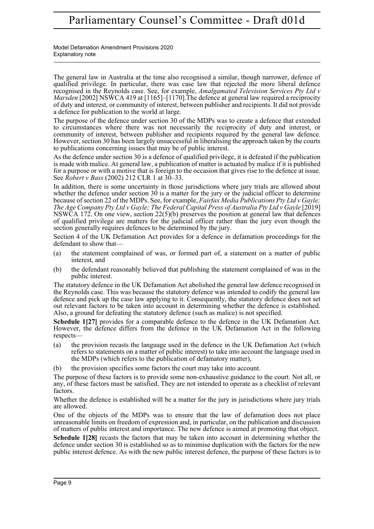Model Defamation Amendment Provisions 2020 Explanatory note

The general law in Australia at the time also recognised a similar, though narrower, defence of qualified privilege. In particular, there was case law that rejected the more liberal defence recognised in the Reynolds case. See, for example, *Amalgamated Television Services Pty Ltd v Marsden* [2002] NSWCA 419 at [1165]–[1170]. The defence at general law required a reciprocity of duty and interest, or community of interest, between publisher and recipients. It did not provide a defence for publication to the world at large.

The purpose of the defence under section 30 of the MDPs was to create a defence that extended to circumstances where there was not necessarily the reciprocity of duty and interest, or community of interest, between publisher and recipients required by the general law defence. However, section 30 has been largely unsuccessful in liberalising the approach taken by the courts to publications concerning issues that may be of public interest.

As the defence under section 30 is a defence of qualified privilege, it is defeated if the publication is made with malice. At general law, a publication of matter is actuated by malice if it is published for a purpose or with a motive that is foreign to the occasion that gives rise to the defence at issue. See *Robert v Bass* (2002) 212 CLR 1 at 30–33.

In addition, there is some uncertainty in those jurisdictions where jury trials are allowed about whether the defence under section 30 is a matter for the jury or the judicial officer to determine because of section 22 of the MDPs. See, for example, *Fairfax Media Publications Pty Ltd v Gayle; The Age Company Pty Ltd v Gayle; The Federal Capital Press of Australia Pty Ltd v Gayle* [2019] NSWCA 172. On one view, section 22(5)(b) preserves the position at general law that defences of qualified privilege are matters for the judicial officer rather than the jury even though the section generally requires defences to be determined by the jury.

Section 4 of the UK Defamation Act provides for a defence in defamation proceedings for the defendant to show that—

- (a) the statement complained of was, or formed part of, a statement on a matter of public interest, and
- (b) the defendant reasonably believed that publishing the statement complained of was in the public interest.

The statutory defence in the UK Defamation Act abolished the general law defence recognised in the Reynolds case. This was because the statutory defence was intended to codify the general law defence and pick up the case law applying to it. Consequently, the statutory defence does not set out relevant factors to be taken into account in determining whether the defence is established. Also, a ground for defeating the statutory defence (such as malice) is not specified.

**Schedule 1[27]** provides for a comparable defence to the defence in the UK Defamation Act. However, the defence differs from the defence in the UK Defamation Act in the following respects—

- (a) the provision recasts the language used in the defence in the UK Defamation Act (which refers to statements on a matter of public interest) to take into account the language used in the MDPs (which refers to the publication of defamatory matter),
- (b) the provision specifies some factors the court may take into account.

The purpose of these factors is to provide some non-exhaustive guidance to the court. Not all, or any, of these factors must be satisfied. They are not intended to operate as a checklist of relevant factors.

Whether the defence is established will be a matter for the jury in jurisdictions where jury trials are allowed.

One of the objects of the MDPs was to ensure that the law of defamation does not place unreasonable limits on freedom of expression and, in particular, on the publication and discussion of matters of public interest and importance. The new defence is aimed at promoting that object.

**Schedule 1[28]** recasts the factors that may be taken into account in determining whether the defence under section 30 is established so as to minimise duplication with the factors for the new public interest defence. As with the new public interest defence, the purpose of these factors is to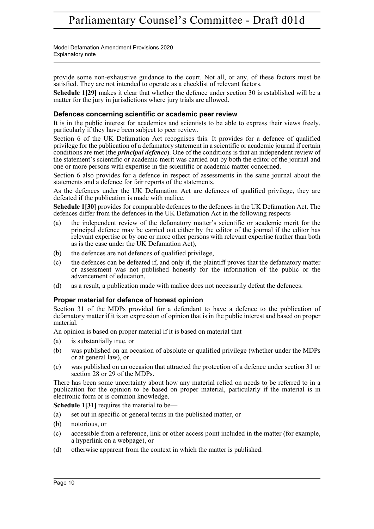Model Defamation Amendment Provisions 2020 Explanatory note

provide some non-exhaustive guidance to the court. Not all, or any, of these factors must be satisfied. They are not intended to operate as a checklist of relevant factors.

**Schedule 1[29]** makes it clear that whether the defence under section 30 is established will be a matter for the jury in jurisdictions where jury trials are allowed.

#### **Defences concerning scientific or academic peer review**

It is in the public interest for academics and scientists to be able to express their views freely, particularly if they have been subject to peer review.

Section 6 of the UK Defamation Act recognises this. It provides for a defence of qualified privilege for the publication of a defamatory statement in a scientific or academic journal if certain conditions are met (the *principal defence*). One of the conditions is that an independent review of the statement's scientific or academic merit was carried out by both the editor of the journal and one or more persons with expertise in the scientific or academic matter concerned.

Section 6 also provides for a defence in respect of assessments in the same journal about the statements and a defence for fair reports of the statements.

As the defences under the UK Defamation Act are defences of qualified privilege, they are defeated if the publication is made with malice.

**Schedule 1[30]** provides for comparable defences to the defences in the UK Defamation Act. The defences differ from the defences in the UK Defamation Act in the following respects—

- (a) the independent review of the defamatory matter's scientific or academic merit for the principal defence may be carried out either by the editor of the journal if the editor has relevant expertise or by one or more other persons with relevant expertise (rather than both as is the case under the UK Defamation Act),
- (b) the defences are not defences of qualified privilege,
- (c) the defences can be defeated if, and only if, the plaintiff proves that the defamatory matter or assessment was not published honestly for the information of the public or the advancement of education,
- (d) as a result, a publication made with malice does not necessarily defeat the defences.

#### **Proper material for defence of honest opinion**

Section 31 of the MDPs provided for a defendant to have a defence to the publication of defamatory matter if it is an expression of opinion that is in the public interest and based on proper material.

An opinion is based on proper material if it is based on material that—

- (a) is substantially true, or
- (b) was published on an occasion of absolute or qualified privilege (whether under the MDPs or at general law), or
- (c) was published on an occasion that attracted the protection of a defence under section 31 or section 28 or 29 of the MDPs.

There has been some uncertainty about how any material relied on needs to be referred to in a publication for the opinion to be based on proper material, particularly if the material is in electronic form or is common knowledge.

**Schedule 1[31]** requires the material to be—

- (a) set out in specific or general terms in the published matter, or
- (b) notorious, or
- (c) accessible from a reference, link or other access point included in the matter (for example, a hyperlink on a webpage), or
- (d) otherwise apparent from the context in which the matter is published.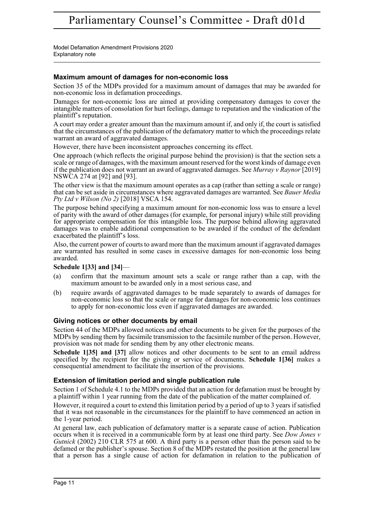Model Defamation Amendment Provisions 2020 Explanatory note

## **Maximum amount of damages for non-economic loss**

Section 35 of the MDPs provided for a maximum amount of damages that may be awarded for non-economic loss in defamation proceedings.

Damages for non-economic loss are aimed at providing compensatory damages to cover the intangible matters of consolation for hurt feelings, damage to reputation and the vindication of the plaintiff's reputation.

A court may order a greater amount than the maximum amount if, and only if, the court is satisfied that the circumstances of the publication of the defamatory matter to which the proceedings relate warrant an award of aggravated damages.

However, there have been inconsistent approaches concerning its effect.

One approach (which reflects the original purpose behind the provision) is that the section sets a scale or range of damages, with the maximum amount reserved for the worst kinds of damage even if the publication does not warrant an award of aggravated damages. See *Murray v Raynor* [2019] NSWCA 274 at [92] and [93].

The other view is that the maximum amount operates as a cap (rather than setting a scale or range) that can be set aside in circumstances where aggravated damages are warranted. See *Bauer Media Pty Ltd v Wilson (No 2)* [2018] VSCA 154.

The purpose behind specifying a maximum amount for non-economic loss was to ensure a level of parity with the award of other damages (for example, for personal injury) while still providing for appropriate compensation for this intangible loss. The purpose behind allowing aggravated damages was to enable additional compensation to be awarded if the conduct of the defendant exacerbated the plaintiff's loss.

Also, the current power of courts to award more than the maximum amount if aggravated damages are warranted has resulted in some cases in excessive damages for non-economic loss being awarded.

## **Schedule 1[33] and [34]**—

- (a) confirm that the maximum amount sets a scale or range rather than a cap, with the maximum amount to be awarded only in a most serious case, and
- (b) require awards of aggravated damages to be made separately to awards of damages for non-economic loss so that the scale or range for damages for non-economic loss continues to apply for non-economic loss even if aggravated damages are awarded.

## **Giving notices or other documents by email**

Section 44 of the MDPs allowed notices and other documents to be given for the purposes of the MDPs by sending them by facsimile transmission to the facsimile number of the person. However, provision was not made for sending them by any other electronic means.

**Schedule 1[35] and [37]** allow notices and other documents to be sent to an email address specified by the recipient for the giving or service of documents. **Schedule 1[36]** makes a consequential amendment to facilitate the insertion of the provisions.

## **Extension of limitation period and single publication rule**

Section 1 of Schedule 4.1 to the MDPs provided that an action for defamation must be brought by a plaintiff within 1 year running from the date of the publication of the matter complained of.

However, it required a court to extend this limitation period by a period of up to 3 years if satisfied that it was not reasonable in the circumstances for the plaintiff to have commenced an action in the 1-year period.

At general law, each publication of defamatory matter is a separate cause of action. Publication occurs when it is received in a communicable form by at least one third party. See *Dow Jones v Gutnick* (2002) 210 CLR 575 at 600. A third party is a person other than the person said to be defamed or the publisher's spouse. Section 8 of the MDPs restated the position at the general law that a person has a single cause of action for defamation in relation to the publication of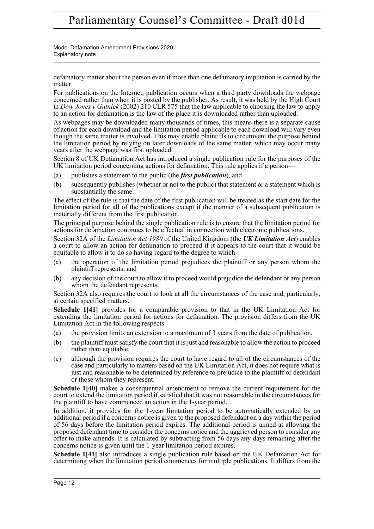Model Defamation Amendment Provisions 2020 Explanatory note

defamatory matter about the person even if more than one defamatory imputation is carried by the matter.

For publications on the Internet, publication occurs when a third party downloads the webpage concerned rather than when it is posted by the publisher. As result, it was held by the High Court in *Dow Jones v Gutnick* (2002) 210 CLR 575 that the law applicable to choosing the law to apply to an action for defamation is the law of the place it is downloaded rather than uploaded.

As webpages may be downloaded many thousands of times, this means there is a separate cause of action for each download and the limitation period applicable to each download will vary even though the same matter is involved. This may enable plaintiffs to circumvent the purpose behind the limitation period by relying on later downloads of the same matter, which may occur many years after the webpage was first uploaded.

Section 8 of UK Defamation Act has introduced a single publication rule for the purposes of the UK limitation period concerning actions for defamation. This rule applies if a person—

- (a) publishes a statement to the public (the *first publication*), and
- (b) subsequently publishes (whether or not to the public) that statement or a statement which is substantially the same.

The effect of the rule is that the date of the first publication will be treated as the start date for the limitation period for all of the publications except if the manner of a subsequent publication is materially different from the first publication.

The principal purpose behind the single publication rule is to ensure that the limitation period for actions for defamation continues to be effectual in connection with electronic publications.

Section 32A of the *Limitation Act 1980* of the United Kingdom (the *UK Limitation Act*) enables a court to allow an action for defamation to proceed if it appears to the court that it would be equitable to allow it to do so having regard to the degree to which-

- (a) the operation of the limitation period prejudices the plaintiff or any person whom the plaintiff represents, and
- (b) any decision of the court to allow it to proceed would prejudice the defendant or any person whom the defendant represents.

Section 32A also requires the court to look at all the circumstances of the case and, particularly, at certain specified matters.

**Schedule 1[41]** provides for a comparable provision to that in the UK Limitation Act for extending the limitation period for actions for defamation. The provision differs from the UK Limitation Act in the following respects—

- (a) the provision limits an extension to a maximum of 3 years from the date of publication,
- (b) the plaintiff must satisfy the court that it is just and reasonable to allow the action to proceed rather than equitable,
- (c) although the provision requires the court to have regard to all of the circumstances of the case and particularly to matters based on the UK Limitation Act, it does not require what is just and reasonable to be determined by reference to prejudice to the plaintiff or defendant or those whom they represent.

**Schedule 1[40]** makes a consequential amendment to remove the current requirement for the court to extend the limitation period if satisfied that it was not reasonable in the circumstances for the plaintiff to have commenced an action in the 1-year period.

In addition, it provides for the 1-year limitation period to be automatically extended by an additional period if a concerns notice is given to the proposed defendant on a day within the period of 56 days before the limitation period expires. The additional period is aimed at allowing the proposed defendant time to consider the concerns notice and the aggrieved person to consider any offer to make amends. It is calculated by subtracting from 56 days any days remaining after the concerns notice is given until the 1-year limitation period expires.

**Schedule 1[41]** also introduces a single publication rule based on the UK Defamation Act for determining when the limitation period commences for multiple publications. It differs from the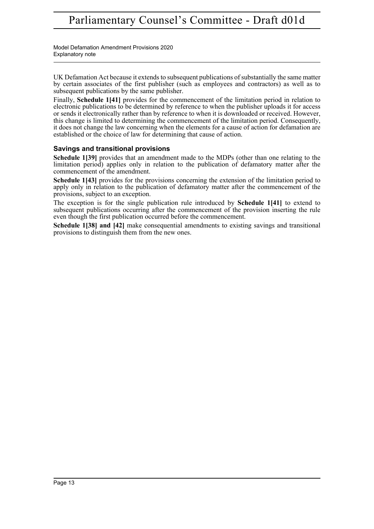Model Defamation Amendment Provisions 2020 Explanatory note

UK Defamation Act because it extends to subsequent publications of substantially the same matter by certain associates of the first publisher (such as employees and contractors) as well as to subsequent publications by the same publisher.

Finally, **Schedule 1[41]** provides for the commencement of the limitation period in relation to electronic publications to be determined by reference to when the publisher uploads it for access or sends it electronically rather than by reference to when it is downloaded or received. However, this change is limited to determining the commencement of the limitation period. Consequently, it does not change the law concerning when the elements for a cause of action for defamation are established or the choice of law for determining that cause of action.

## **Savings and transitional provisions**

**Schedule 1[39]** provides that an amendment made to the MDPs (other than one relating to the limitation period) applies only in relation to the publication of defamatory matter after the commencement of the amendment.

**Schedule 1[43]** provides for the provisions concerning the extension of the limitation period to apply only in relation to the publication of defamatory matter after the commencement of the provisions, subject to an exception.

The exception is for the single publication rule introduced by **Schedule 1[41]** to extend to subsequent publications occurring after the commencement of the provision inserting the rule even though the first publication occurred before the commencement.

**Schedule 1[38] and [42]** make consequential amendments to existing savings and transitional provisions to distinguish them from the new ones.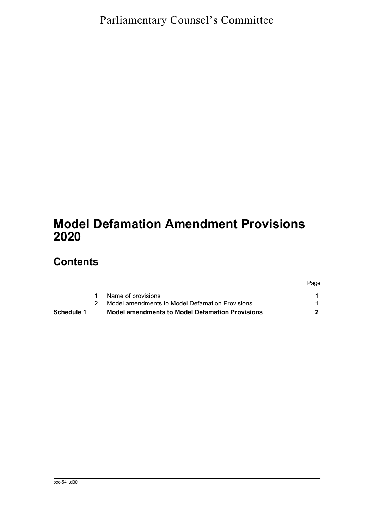# **Model Defamation Amendment Provisions 2020**

# **Contents**

| Page |
|------|
|      |
|      |
|      |
|      |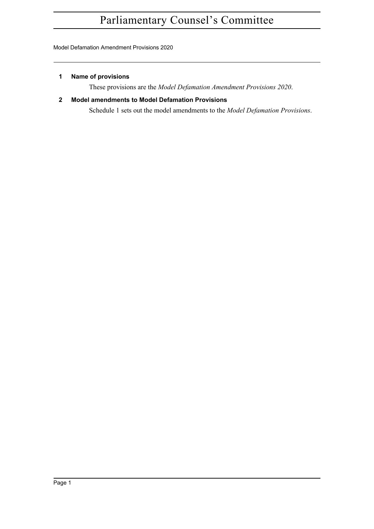Model Defamation Amendment Provisions 2020

#### <span id="page-14-0"></span>**1 Name of provisions**

These provisions are the *Model Defamation Amendment Provisions 2020*.

## <span id="page-14-1"></span>**2 Model amendments to Model Defamation Provisions**

Schedule 1 sets out the model amendments to the *Model Defamation Provisions*.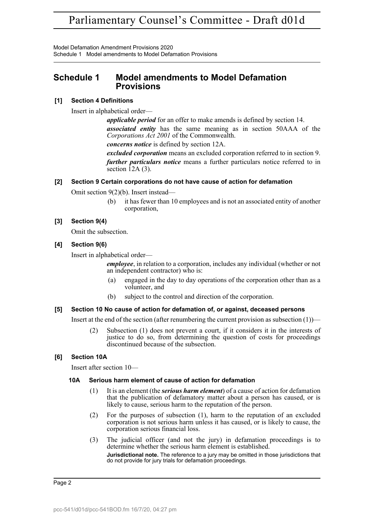Model Defamation Amendment Provisions 2020 Schedule 1 Model amendments to Model Defamation Provisions

## <span id="page-15-0"></span>**Schedule 1 Model amendments to Model Defamation Provisions**

#### **[1] Section 4 Definitions**

Insert in alphabetical order—

*applicable period* for an offer to make amends is defined by section 14. *associated entity* has the same meaning as in section 50AAA of the *Corporations Act 2001* of the Commonwealth.

*concerns notice* is defined by section 12A.

*excluded corporation* means an excluded corporation referred to in section 9. *further particulars notice* means a further particulars notice referred to in section  $\overline{1}2A(3)$ .

#### **[2] Section 9 Certain corporations do not have cause of action for defamation**

Omit section 9(2)(b). Insert instead—

(b) it has fewer than 10 employees and is not an associated entity of another corporation,

#### **[3] Section 9(4)**

Omit the subsection.

#### **[4] Section 9(6)**

Insert in alphabetical order—

*employee*, in relation to a corporation, includes any individual (whether or not an independent contractor) who is:

- engaged in the day to day operations of the corporation other than as a volunteer, and
- (b) subject to the control and direction of the corporation.

#### **[5] Section 10 No cause of action for defamation of, or against, deceased persons**

Insert at the end of the section (after renumbering the current provision as subsection  $(1)$ )—

(2) Subsection (1) does not prevent a court, if it considers it in the interests of justice to do so, from determining the question of costs for proceedings discontinued because of the subsection.

## **[6] Section 10A**

Insert after section 10—

## **10A Serious harm element of cause of action for defamation**

- (1) It is an element (the *serious harm element*) of a cause of action for defamation that the publication of defamatory matter about a person has caused, or is likely to cause, serious harm to the reputation of the person.
- (2) For the purposes of subsection (1), harm to the reputation of an excluded corporation is not serious harm unless it has caused, or is likely to cause, the corporation serious financial loss.
- (3) The judicial officer (and not the jury) in defamation proceedings is to determine whether the serious harm element is established. **Jurisdictional note.** The reference to a jury may be omitted in those jurisdictions that do not provide for jury trials for defamation proceedings.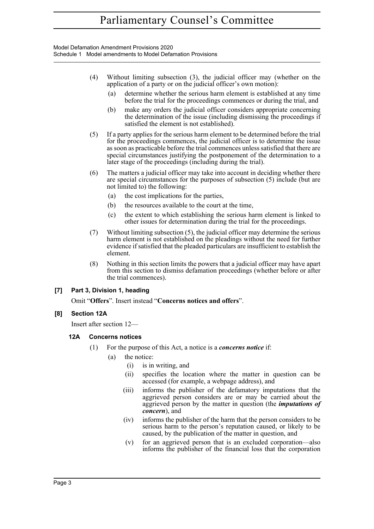Model Defamation Amendment Provisions 2020 Schedule 1 Model amendments to Model Defamation Provisions

- (4) Without limiting subsection (3), the judicial officer may (whether on the application of a party or on the judicial officer's own motion):
	- (a) determine whether the serious harm element is established at any time before the trial for the proceedings commences or during the trial, and
	- (b) make any orders the judicial officer considers appropriate concerning the determination of the issue (including dismissing the proceedings if satisfied the element is not established).
- (5) If a party applies for the serious harm element to be determined before the trial for the proceedings commences, the judicial officer is to determine the issue as soon as practicable before the trial commences unless satisfied that there are special circumstances justifying the postponement of the determination to a later stage of the proceedings (including during the trial).
- (6) The matters a judicial officer may take into account in deciding whether there are special circumstances for the purposes of subsection (5) include (but are not limited to) the following:
	- (a) the cost implications for the parties,
	- (b) the resources available to the court at the time,
	- (c) the extent to which establishing the serious harm element is linked to other issues for determination during the trial for the proceedings.
- (7) Without limiting subsection (5), the judicial officer may determine the serious harm element is not established on the pleadings without the need for further evidence if satisfied that the pleaded particulars are insufficient to establish the element.
- (8) Nothing in this section limits the powers that a judicial officer may have apart from this section to dismiss defamation proceedings (whether before or after the trial commences).

## **[7] Part 3, Division 1, heading**

Omit "**Offers**". Insert instead "**Concerns notices and offers**".

#### **[8] Section 12A**

Insert after section 12—

#### **12A Concerns notices**

- (1) For the purpose of this Act, a notice is a *concerns notice* if:
	- (a) the notice:
		- (i) is in writing, and
		- (ii) specifies the location where the matter in question can be accessed (for example, a webpage address), and
		- (iii) informs the publisher of the defamatory imputations that the aggrieved person considers are or may be carried about the aggrieved person by the matter in question (the *imputations of concern*), and
		- (iv) informs the publisher of the harm that the person considers to be serious harm to the person's reputation caused, or likely to be caused, by the publication of the matter in question, and
		- (v) for an aggrieved person that is an excluded corporation—also informs the publisher of the financial loss that the corporation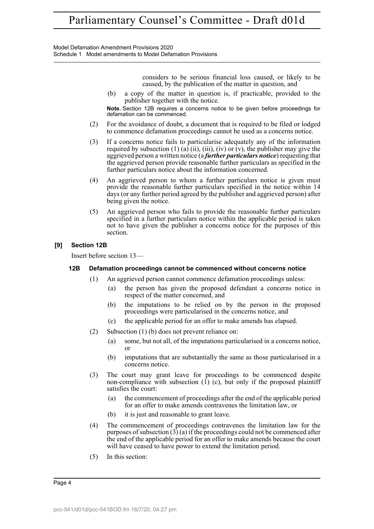Model Defamation Amendment Provisions 2020 Schedule 1 Model amendments to Model Defamation Provisions

> considers to be serious financial loss caused, or likely to be caused, by the publication of the matter in question, and

(b) a copy of the matter in question is, if practicable, provided to the publisher together with the notice.

**Note.** Section 12B requires a concerns notice to be given before proceedings for defamation can be commenced.

- (2) For the avoidance of doubt, a document that is required to be filed or lodged to commence defamation proceedings cannot be used as a concerns notice.
- (3) If a concerns notice fails to particularise adequately any of the information required by subsection (1) (a) (ii), (iii), (iv) or (v), the publisher may give the aggrieved person a written notice (a *further particulars notice*) requesting that the aggrieved person provide reasonable further particulars as specified in the further particulars notice about the information concerned.
- (4) An aggrieved person to whom a further particulars notice is given must provide the reasonable further particulars specified in the notice within 14 days (or any further period agreed by the publisher and aggrieved person) after being given the notice.
- (5) An aggrieved person who fails to provide the reasonable further particulars specified in a further particulars notice within the applicable period is taken not to have given the publisher a concerns notice for the purposes of this section.

#### **[9] Section 12B**

Insert before section 13—

#### **12B Defamation proceedings cannot be commenced without concerns notice**

- (1) An aggrieved person cannot commence defamation proceedings unless:
	- (a) the person has given the proposed defendant a concerns notice in respect of the matter concerned, and
	- (b) the imputations to be relied on by the person in the proposed proceedings were particularised in the concerns notice, and
	- (c) the applicable period for an offer to make amends has elapsed.
- (2) Subsection (1) (b) does not prevent reliance on:
	- (a) some, but not all, of the imputations particularised in a concerns notice, or
	- (b) imputations that are substantially the same as those particularised in a concerns notice.
- (3) The court may grant leave for proceedings to be commenced despite non-compliance with subsection  $(1)$  (c), but only if the proposed plaintiff satisfies the court:
	- (a) the commencement of proceedings after the end of the applicable period for an offer to make amends contravenes the limitation law, or
	- (b) it is just and reasonable to grant leave.
- (4) The commencement of proceedings contravenes the limitation law for the purposes of subsection  $(3)$  (a) if the proceedings could not be commenced after the end of the applicable period for an offer to make amends because the court will have ceased to have power to extend the limitation period.
- (5) In this section: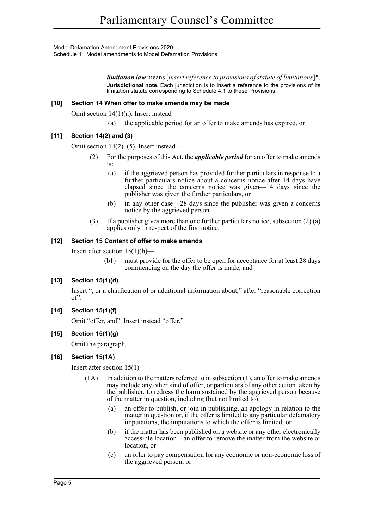Model Defamation Amendment Provisions 2020 Schedule 1 Model amendments to Model Defamation Provisions

> *limitation law* means [*insert reference to provisions of statute of limitations*]\*. **Jurisdictional note.** Each jurisdiction is to insert a reference to the provisions of its limitation statute corresponding to Schedule 4.1 to these Provisions.

#### **[10] Section 14 When offer to make amends may be made**

Omit section 14(1)(a). Insert instead—

(a) the applicable period for an offer to make amends has expired, or

## **[11] Section 14(2) and (3)**

Omit section 14(2)–(5). Insert instead—

- (2) For the purposes of this Act, the *applicable period* for an offer to make amends is:
	- (a) if the aggrieved person has provided further particulars in response to a further particulars notice about a concerns notice after 14 days have elapsed since the concerns notice was given—14 days since the publisher was given the further particulars, or
	- (b) in any other case—28 days since the publisher was given a concerns notice by the aggrieved person.
- (3) If a publisher gives more than one further particulars notice, subsection (2) (a) applies only in respect of the first notice.

## **[12] Section 15 Content of offer to make amends**

Insert after section  $15(1)(b)$ —

(b1) must provide for the offer to be open for acceptance for at least 28 days commencing on the day the offer is made, and

## **[13] Section 15(1)(d)**

Insert ", or a clarification of or additional information about," after "reasonable correction of".

## **[14] Section 15(1)(f)**

Omit "offer, and". Insert instead "offer."

## **[15] Section 15(1)(g)**

Omit the paragraph.

#### **[16] Section 15(1A)**

Insert after section 15(1)—

- $(1A)$  In addition to the matters referred to in subsection  $(1)$ , an offer to make amends may include any other kind of offer, or particulars of any other action taken by the publisher, to redress the harm sustained by the aggrieved person because of the matter in question, including (but not limited to):
	- (a) an offer to publish, or join in publishing, an apology in relation to the matter in question or, if the offer is limited to any particular defamatory imputations, the imputations to which the offer is limited, or
	- (b) if the matter has been published on a website or any other electronically accessible location—an offer to remove the matter from the website or location, or
	- (c) an offer to pay compensation for any economic or non-economic loss of the aggrieved person, or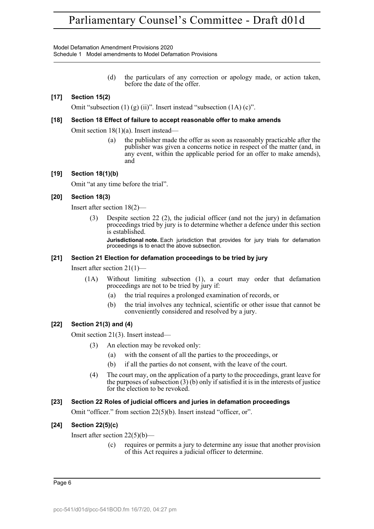Model Defamation Amendment Provisions 2020 Schedule 1 Model amendments to Model Defamation Provisions

> (d) the particulars of any correction or apology made, or action taken, before the date of the offer.

## **[17] Section 15(2)**

Omit "subsection  $(1)$   $(g)$   $(ii)$ ". Insert instead "subsection  $(1A)$   $(c)$ ".

#### **[18] Section 18 Effect of failure to accept reasonable offer to make amends**

Omit section 18(1)(a). Insert instead—

(a) the publisher made the offer as soon as reasonably practicable after the publisher was given a concerns notice in respect of the matter (and, in any event, within the applicable period for an offer to make amends), and

#### **[19] Section 18(1)(b)**

Omit "at any time before the trial".

#### **[20] Section 18(3)**

Insert after section 18(2)—

Despite section 22 (2), the judicial officer (and not the jury) in defamation proceedings tried by jury is to determine whether a defence under this section is established.

**Jurisdictional note.** Each jurisdiction that provides for jury trials for defamation proceedings is to enact the above subsection.

#### **[21] Section 21 Election for defamation proceedings to be tried by jury**

Insert after section 21(1)—

- (1A) Without limiting subsection (1), a court may order that defamation proceedings are not to be tried by jury if:
	- (a) the trial requires a prolonged examination of records, or
	- (b) the trial involves any technical, scientific or other issue that cannot be conveniently considered and resolved by a jury.

#### **[22] Section 21(3) and (4)**

Omit section 21(3). Insert instead—

- (3) An election may be revoked only:
	- (a) with the consent of all the parties to the proceedings, or
	- (b) if all the parties do not consent, with the leave of the court.
- (4) The court may, on the application of a party to the proceedings, grant leave for the purposes of subsection  $(3)$  (b) only if satisfied it is in the interests of justice for the election to be revoked.

#### **[23] Section 22 Roles of judicial officers and juries in defamation proceedings**

Omit "officer." from section 22(5)(b). Insert instead "officer, or".

#### **[24] Section 22(5)(c)**

Insert after section  $22(5)(b)$ —

(c) requires or permits a jury to determine any issue that another provision of this Act requires a judicial officer to determine.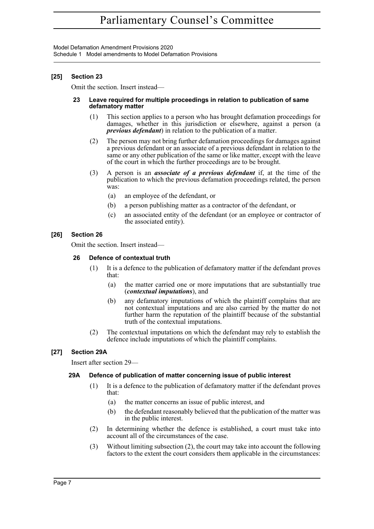Model Defamation Amendment Provisions 2020 Schedule 1 Model amendments to Model Defamation Provisions

## **[25] Section 23**

Omit the section. Insert instead—

#### **23 Leave required for multiple proceedings in relation to publication of same defamatory matter**

- (1) This section applies to a person who has brought defamation proceedings for damages, whether in this jurisdiction or elsewhere, against a person (a *previous defendant*) in relation to the publication of a matter.
- (2) The person may not bring further defamation proceedings for damages against a previous defendant or an associate of a previous defendant in relation to the same or any other publication of the same or like matter, except with the leave of the court in which the further proceedings are to be brought.
- (3) A person is an *associate of a previous defendant* if, at the time of the publication to which the previous defamation proceedings related, the person was:
	- (a) an employee of the defendant, or
	- (b) a person publishing matter as a contractor of the defendant, or
	- (c) an associated entity of the defendant (or an employee or contractor of the associated entity).

## **[26] Section 26**

Omit the section. Insert instead—

#### **26 Defence of contextual truth**

- (1) It is a defence to the publication of defamatory matter if the defendant proves that:
	- (a) the matter carried one or more imputations that are substantially true (*contextual imputations*), and
	- (b) any defamatory imputations of which the plaintiff complains that are not contextual imputations and are also carried by the matter do not further harm the reputation of the plaintiff because of the substantial truth of the contextual imputations.
- (2) The contextual imputations on which the defendant may rely to establish the defence include imputations of which the plaintiff complains.

## **[27] Section 29A**

Insert after section 29—

## **29A Defence of publication of matter concerning issue of public interest**

- (1) It is a defence to the publication of defamatory matter if the defendant proves that:
	- (a) the matter concerns an issue of public interest, and
	- (b) the defendant reasonably believed that the publication of the matter was in the public interest.
- (2) In determining whether the defence is established, a court must take into account all of the circumstances of the case.
- (3) Without limiting subsection (2), the court may take into account the following factors to the extent the court considers them applicable in the circumstances: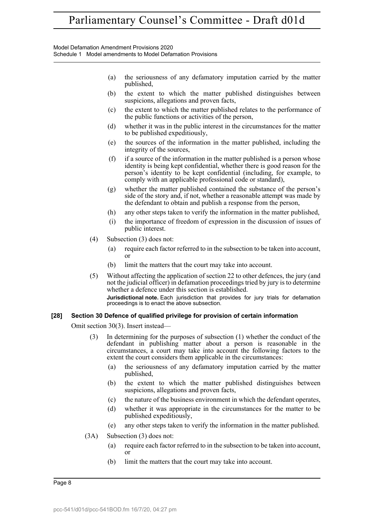Model Defamation Amendment Provisions 2020 Schedule 1 Model amendments to Model Defamation Provisions

- (a) the seriousness of any defamatory imputation carried by the matter published,
- (b) the extent to which the matter published distinguishes between suspicions, allegations and proven facts,
- (c) the extent to which the matter published relates to the performance of the public functions or activities of the person,
- (d) whether it was in the public interest in the circumstances for the matter to be published expeditiously,
- (e) the sources of the information in the matter published, including the integrity of the sources,
- (f) if a source of the information in the matter published is a person whose identity is being kept confidential, whether there is good reason for the person's identity to be kept confidential (including, for example, to comply with an applicable professional code or standard),
- (g) whether the matter published contained the substance of the person's side of the story and, if not, whether a reasonable attempt was made by the defendant to obtain and publish a response from the person,
- (h) any other steps taken to verify the information in the matter published,
- (i) the importance of freedom of expression in the discussion of issues of public interest.
- (4) Subsection (3) does not:
	- (a) require each factor referred to in the subsection to be taken into account, or
	- (b) limit the matters that the court may take into account.
- (5) Without affecting the application of section 22 to other defences, the jury (and not the judicial officer) in defamation proceedings tried by jury is to determine whether a defence under this section is established.

**Jurisdictional note.** Each jurisdiction that provides for jury trials for defamation proceedings is to enact the above subsection.

#### **[28] Section 30 Defence of qualified privilege for provision of certain information**

Omit section 30(3). Insert instead—

- (3) In determining for the purposes of subsection (1) whether the conduct of the defendant in publishing matter about a person is reasonable in the circumstances, a court may take into account the following factors to the extent the court considers them applicable in the circumstances:
	- (a) the seriousness of any defamatory imputation carried by the matter published,
	- (b) the extent to which the matter published distinguishes between suspicions, allegations and proven facts,
	- (c) the nature of the business environment in which the defendant operates,
	- (d) whether it was appropriate in the circumstances for the matter to be published expeditiously,
	- (e) any other steps taken to verify the information in the matter published.
- (3A) Subsection (3) does not:
	- (a) require each factor referred to in the subsection to be taken into account, or
	- (b) limit the matters that the court may take into account.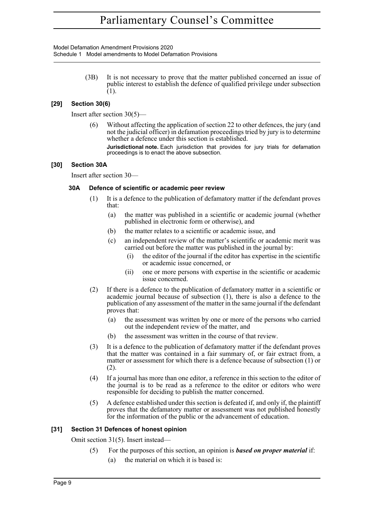Model Defamation Amendment Provisions 2020 Schedule 1 Model amendments to Model Defamation Provisions

> (3B) It is not necessary to prove that the matter published concerned an issue of public interest to establish the defence of qualified privilege under subsection (1).

#### **[29] Section 30(6)**

Insert after section 30(5)—

(6) Without affecting the application of section 22 to other defences, the jury (and not the judicial officer) in defamation proceedings tried by jury is to determine whether a defence under this section is established.

**Jurisdictional note.** Each jurisdiction that provides for jury trials for defamation proceedings is to enact the above subsection.

#### **[30] Section 30A**

Insert after section 30—

#### **30A Defence of scientific or academic peer review**

- (1) It is a defence to the publication of defamatory matter if the defendant proves that:
	- (a) the matter was published in a scientific or academic journal (whether published in electronic form or otherwise), and
	- (b) the matter relates to a scientific or academic issue, and
	- (c) an independent review of the matter's scientific or academic merit was carried out before the matter was published in the journal by:
		- (i) the editor of the journal if the editor has expertise in the scientific or academic issue concerned, or
		- (ii) one or more persons with expertise in the scientific or academic issue concerned.
- (2) If there is a defence to the publication of defamatory matter in a scientific or academic journal because of subsection (1), there is also a defence to the publication of any assessment of the matter in the same journal if the defendant proves that:
	- (a) the assessment was written by one or more of the persons who carried out the independent review of the matter, and
	- (b) the assessment was written in the course of that review.
- (3) It is a defence to the publication of defamatory matter if the defendant proves that the matter was contained in a fair summary of, or fair extract from, a matter or assessment for which there is a defence because of subsection (1) or (2).
- (4) If a journal has more than one editor, a reference in this section to the editor of the journal is to be read as a reference to the editor or editors who were responsible for deciding to publish the matter concerned.
- (5) A defence established under this section is defeated if, and only if, the plaintiff proves that the defamatory matter or assessment was not published honestly for the information of the public or the advancement of education.

#### **[31] Section 31 Defences of honest opinion**

Omit section 31(5). Insert instead—

(5) For the purposes of this section, an opinion is *based on proper material* if: (a) the material on which it is based is: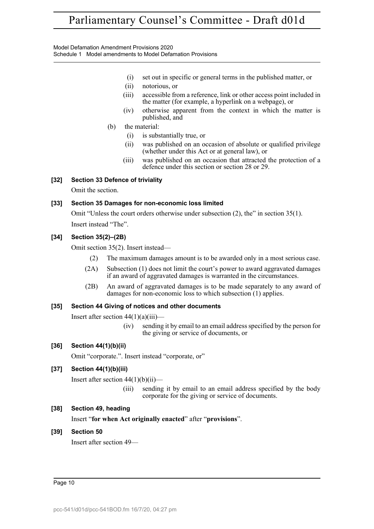Model Defamation Amendment Provisions 2020 Schedule 1 Model amendments to Model Defamation Provisions

- (i) set out in specific or general terms in the published matter, or
- (ii) notorious, or
- (iii) accessible from a reference, link or other access point included in the matter (for example, a hyperlink on a webpage), or
- (iv) otherwise apparent from the context in which the matter is published, and
- (b) the material:
	- (i) is substantially true, or
	- (ii) was published on an occasion of absolute or qualified privilege (whether under this Act or at general law), or
	- (iii) was published on an occasion that attracted the protection of a defence under this section or section 28 or 29.

## **[32] Section 33 Defence of triviality**

Omit the section.

#### **[33] Section 35 Damages for non-economic loss limited**

Omit "Unless the court orders otherwise under subsection (2), the" in section 35(1). Insert instead "The".

#### **[34] Section 35(2)–(2B)**

Omit section 35(2). Insert instead—

- (2) The maximum damages amount is to be awarded only in a most serious case.
- (2A) Subsection (1) does not limit the court's power to award aggravated damages if an award of aggravated damages is warranted in the circumstances.
- (2B) An award of aggravated damages is to be made separately to any award of damages for non-economic loss to which subsection (1) applies.

#### **[35] Section 44 Giving of notices and other documents**

Insert after section  $44(1)(a)(iii)$ —

(iv) sending it by email to an email address specified by the person for the giving or service of documents, or

## **[36] Section 44(1)(b)(ii)**

Omit "corporate.". Insert instead "corporate, or"

## **[37] Section 44(1)(b)(iii)**

Insert after section  $44(1)(b)(ii)$ —

(iii) sending it by email to an email address specified by the body corporate for the giving or service of documents.

## **[38] Section 49, heading**

Insert "**for when Act originally enacted**" after "**provisions**".

## **[39] Section 50**

Insert after section 49—

Page 10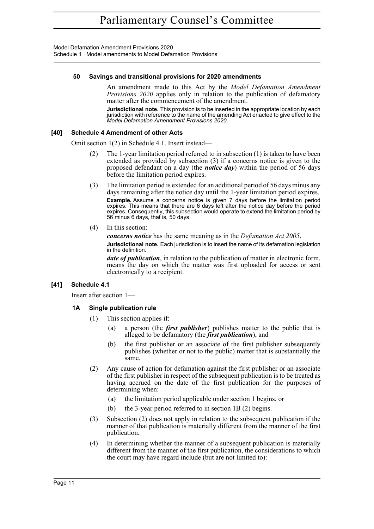Model Defamation Amendment Provisions 2020 Schedule 1 Model amendments to Model Defamation Provisions

#### **50 Savings and transitional provisions for 2020 amendments**

An amendment made to this Act by the *Model Defamation Amendment Provisions 2020* applies only in relation to the publication of defamatory matter after the commencement of the amendment.

**Jurisdictional note.** This provision is to be inserted in the appropriate location by each jurisdiction with reference to the name of the amending Act enacted to give effect to the *Model Defamation Amendment Provisions 2020*.

#### **[40] Schedule 4 Amendment of other Acts**

Omit section 1(2) in Schedule 4.1. Insert instead—

- (2) The 1-year limitation period referred to in subsection (1) is taken to have been extended as provided by subsection (3) if a concerns notice is given to the proposed defendant on a day (the *notice day*) within the period of 56 days before the limitation period expires.
- (3) The limitation period is extended for an additional period of 56 days minus any days remaining after the notice day until the 1-year limitation period expires. **Example.** Assume a concerns notice is given 7 days before the limitation period expires. This means that there are 6 days left after the notice day before the period expires. Consequently, this subsection would operate to extend the limitation period by 56 minus 6 days, that is, 50 days.
- (4) In this section:

*concerns notice* has the same meaning as in the *Defamation Act 2005*. **Jurisdictional note.** Each jurisdiction is to insert the name of its defamation legislation in the definition.

*date of publication*, in relation to the publication of matter in electronic form, means the day on which the matter was first uploaded for access or sent electronically to a recipient.

#### **[41] Schedule 4.1**

Insert after section 1—

#### **1A Single publication rule**

- (1) This section applies if:
	- (a) a person (the *first publisher*) publishes matter to the public that is alleged to be defamatory (the *first publication*), and
	- (b) the first publisher or an associate of the first publisher subsequently publishes (whether or not to the public) matter that is substantially the same.
- (2) Any cause of action for defamation against the first publisher or an associate of the first publisher in respect of the subsequent publication is to be treated as having accrued on the date of the first publication for the purposes of determining when:
	- (a) the limitation period applicable under section 1 begins, or
	- (b) the 3-year period referred to in section 1B (2) begins.
- (3) Subsection (2) does not apply in relation to the subsequent publication if the manner of that publication is materially different from the manner of the first publication.
- (4) In determining whether the manner of a subsequent publication is materially different from the manner of the first publication, the considerations to which the court may have regard include (but are not limited to):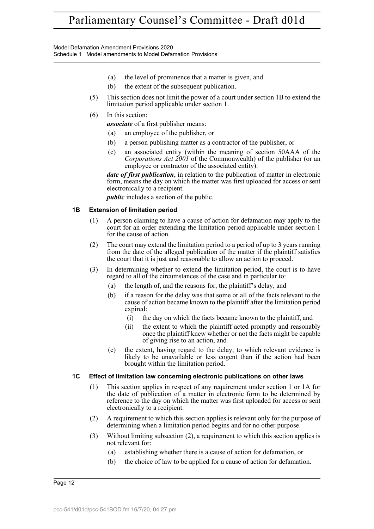Model Defamation Amendment Provisions 2020 Schedule 1 Model amendments to Model Defamation Provisions

- (a) the level of prominence that a matter is given, and
- (b) the extent of the subsequent publication.
- (5) This section does not limit the power of a court under section 1B to extend the limitation period applicable under section 1.

#### (6) In this section:

*associate* of a first publisher means:

- (a) an employee of the publisher, or
- (b) a person publishing matter as a contractor of the publisher, or
- (c) an associated entity (within the meaning of section 50AAA of the *Corporations Act 2001* of the Commonwealth) of the publisher (or an employee or contractor of the associated entity).

*date of first publication*, in relation to the publication of matter in electronic form, means the day on which the matter was first uploaded for access or sent electronically to a recipient.

*public* includes a section of the public.

#### **1B Extension of limitation period**

- (1) A person claiming to have a cause of action for defamation may apply to the court for an order extending the limitation period applicable under section 1 for the cause of action.
- (2) The court may extend the limitation period to a period of up to 3 years running from the date of the alleged publication of the matter if the plaintiff satisfies the court that it is just and reasonable to allow an action to proceed.
- (3) In determining whether to extend the limitation period, the court is to have regard to all of the circumstances of the case and in particular to:
	- (a) the length of, and the reasons for, the plaintiff's delay, and
	- (b) if a reason for the delay was that some or all of the facts relevant to the cause of action became known to the plaintiff after the limitation period expired:
		- (i) the day on which the facts became known to the plaintiff, and
		- (ii) the extent to which the plaintiff acted promptly and reasonably once the plaintiff knew whether or not the facts might be capable of giving rise to an action, and
	- (c) the extent, having regard to the delay, to which relevant evidence is likely to be unavailable or less cogent than if the action had been brought within the limitation period.

#### **1C Effect of limitation law concerning electronic publications on other laws**

- (1) This section applies in respect of any requirement under section 1 or 1A for the date of publication of a matter in electronic form to be determined by reference to the day on which the matter was first uploaded for access or sent electronically to a recipient.
- (2) A requirement to which this section applies is relevant only for the purpose of determining when a limitation period begins and for no other purpose.
- (3) Without limiting subsection (2), a requirement to which this section applies is not relevant for:
	- (a) establishing whether there is a cause of action for defamation, or
	- (b) the choice of law to be applied for a cause of action for defamation.